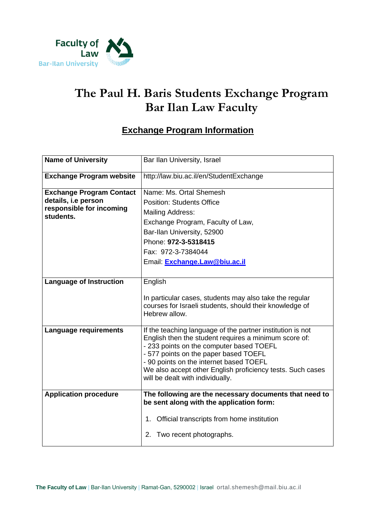

## **The Paul H. Baris Students Exchange Program Bar Ilan Law Faculty**

## **Exchange Program Information**

| <b>Name of University</b>                                                                       | Bar Ilan University, Israel                                                                                                                                                                                                                                                                                                                           |
|-------------------------------------------------------------------------------------------------|-------------------------------------------------------------------------------------------------------------------------------------------------------------------------------------------------------------------------------------------------------------------------------------------------------------------------------------------------------|
| <b>Exchange Program website</b>                                                                 | http://law.biu.ac.il/en/StudentExchange                                                                                                                                                                                                                                                                                                               |
| <b>Exchange Program Contact</b><br>details, i.e person<br>responsible for incoming<br>students. | Name: Ms. Ortal Shemesh<br><b>Position: Students Office</b><br><b>Mailing Address:</b><br>Exchange Program, Faculty of Law,<br>Bar-Ilan University, 52900<br>Phone: 972-3-5318415<br>Fax: 972-3-7384044<br>Email: Exchange.Law@biu.ac.il                                                                                                              |
| <b>Language of Instruction</b>                                                                  | English<br>In particular cases, students may also take the regular<br>courses for Israeli students, should their knowledge of<br>Hebrew allow.                                                                                                                                                                                                        |
| <b>Language requirements</b>                                                                    | If the teaching language of the partner institution is not<br>English then the student requires a minimum score of:<br>- 233 points on the computer based TOEFL<br>- 577 points on the paper based TOEFL<br>- 90 points on the internet based TOEFL<br>We also accept other English proficiency tests. Such cases<br>will be dealt with individually. |
| <b>Application procedure</b>                                                                    | The following are the necessary documents that need to<br>be sent along with the application form:<br>Official transcripts from home institution<br>1.<br>Two recent photographs.<br>2.                                                                                                                                                               |